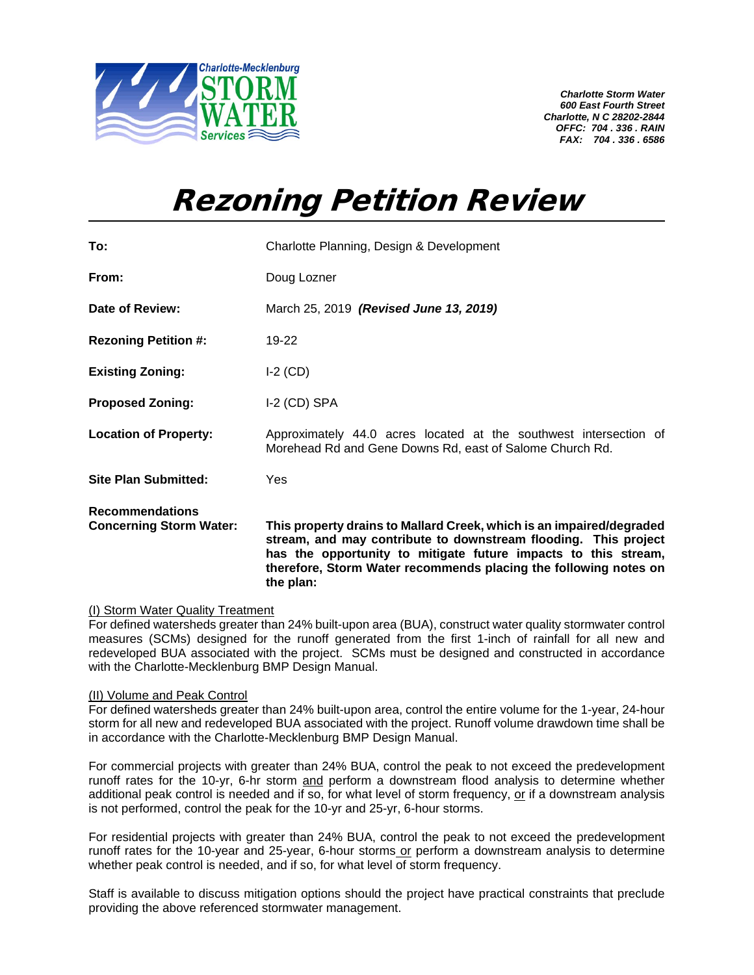

*Charlotte Storm Water 600 East Fourth Street Charlotte, N C 28202-2844 OFFC: 704 . 336 . RAIN FAX: 704 . 336 . 6586*

## Rezoning Petition Review

| <b>Concerning Storm Water:</b> | This property drains to Mallard Creek, which is an impaired/degraded<br>stream, and may contribute to downstream flooding. This project<br>has the opportunity to mitigate future impacts to this stream,<br>therefore, Storm Water recommends placing the following notes on<br>the plan: |
|--------------------------------|--------------------------------------------------------------------------------------------------------------------------------------------------------------------------------------------------------------------------------------------------------------------------------------------|
| <b>Recommendations</b>         |                                                                                                                                                                                                                                                                                            |
| <b>Site Plan Submitted:</b>    | Yes                                                                                                                                                                                                                                                                                        |
| <b>Location of Property:</b>   | Approximately 44.0 acres located at the southwest intersection of<br>Morehead Rd and Gene Downs Rd, east of Salome Church Rd.                                                                                                                                                              |
| <b>Proposed Zoning:</b>        | $I-2$ (CD) SPA                                                                                                                                                                                                                                                                             |
| <b>Existing Zoning:</b>        | $I-2$ (CD)                                                                                                                                                                                                                                                                                 |
| <b>Rezoning Petition #:</b>    | 19-22                                                                                                                                                                                                                                                                                      |
| Date of Review:                | March 25, 2019 (Revised June 13, 2019)                                                                                                                                                                                                                                                     |
| From:                          | Doug Lozner                                                                                                                                                                                                                                                                                |
| To:                            | Charlotte Planning, Design & Development                                                                                                                                                                                                                                                   |

## (I) Storm Water Quality Treatment

For defined watersheds greater than 24% built-upon area (BUA), construct water quality stormwater control measures (SCMs) designed for the runoff generated from the first 1-inch of rainfall for all new and redeveloped BUA associated with the project. SCMs must be designed and constructed in accordance with the Charlotte-Mecklenburg BMP Design Manual.

## (II) Volume and Peak Control

For defined watersheds greater than 24% built-upon area, control the entire volume for the 1-year, 24-hour storm for all new and redeveloped BUA associated with the project. Runoff volume drawdown time shall be in accordance with the Charlotte-Mecklenburg BMP Design Manual.

For commercial projects with greater than 24% BUA, control the peak to not exceed the predevelopment runoff rates for the 10-yr, 6-hr storm and perform a downstream flood analysis to determine whether additional peak control is needed and if so, for what level of storm frequency, or if a downstream analysis is not performed, control the peak for the 10-yr and 25-yr, 6-hour storms.

For residential projects with greater than 24% BUA, control the peak to not exceed the predevelopment runoff rates for the 10-year and 25-year, 6-hour storms or perform a downstream analysis to determine whether peak control is needed, and if so, for what level of storm frequency.

Staff is available to discuss mitigation options should the project have practical constraints that preclude providing the above referenced stormwater management.